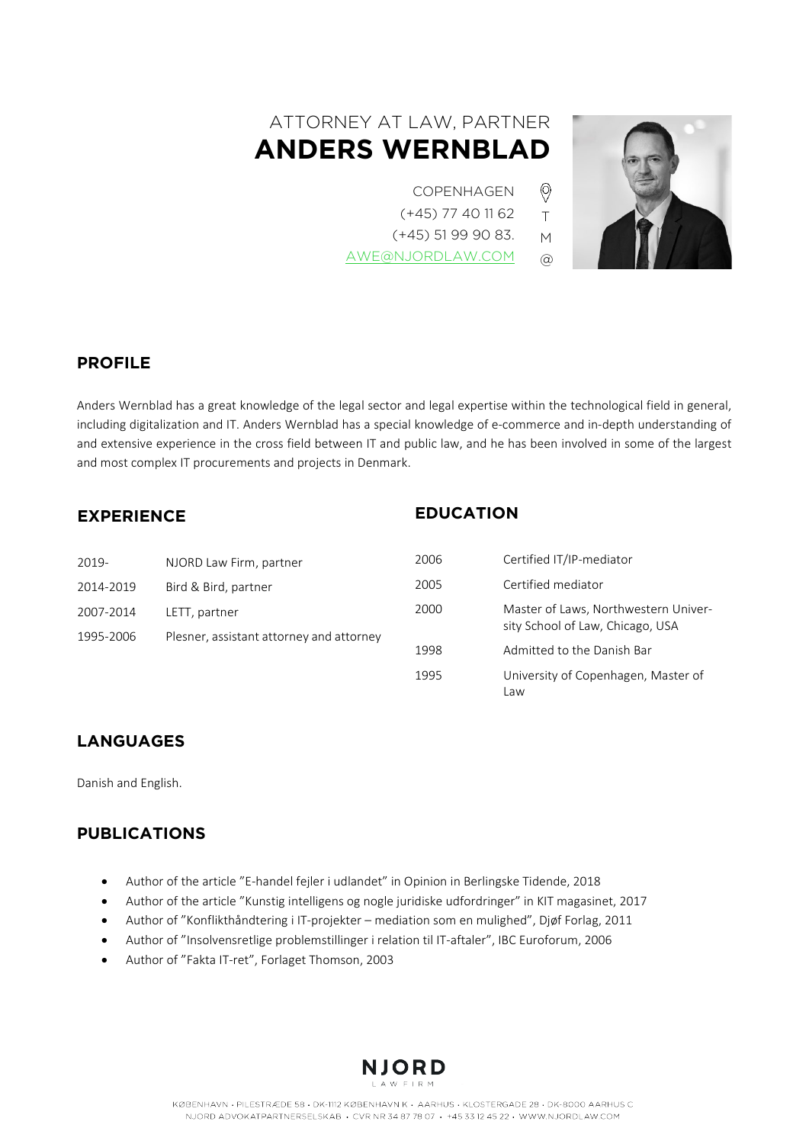# ATTORNEY AT LAW, PARTNER **ANDERS WERNBLAD**

- COPENHAGEN
- (+45) 77 40 11 62

T M  $\circledR$ 

 $\circledcirc$ 

(+45) 51 99 90 83.

[AWE@NJORDLAW.COM](mailto:AWE@NJORDLAW.COM)



## **PROFILE**

Anders Wernblad has a great knowledge of the legal sector and legal expertise within the technological field in general, including digitalization and IT. Anders Wernblad has a special knowledge of e-commerce and in-depth understanding of and extensive experience in the cross field between IT and public law, and he has been involved in some of the largest and most complex IT procurements and projects in Denmark.

## **EXPERIENCE**

## **EDUCATION**

| 2019-                  | NJORD Law Firm, partner                                   | 2006 | Certified IT/IP-mediator                                                 |
|------------------------|-----------------------------------------------------------|------|--------------------------------------------------------------------------|
| 2014-2019              | Bird & Bird, partner                                      | 2005 | Certified mediator                                                       |
| 2007-2014<br>1995-2006 | LETT, partner<br>Plesner, assistant attorney and attorney | 2000 | Master of Laws, Northwestern Univer-<br>sity School of Law, Chicago, USA |
|                        |                                                           | 1998 | Admitted to the Danish Bar                                               |
|                        |                                                           | 1995 | University of Copenhagen, Master of<br>aw                                |

## **LANGUAGES**

Danish and English.

## **PUBLICATIONS**

- Author of the article "E-handel fejler i udlandet" in Opinion in Berlingske Tidende, 2018
- Author of the article "Kunstig intelligens og nogle juridiske udfordringer" in KIT magasinet, 2017
- Author of "Konflikthåndtering i IT-projekter mediation som en mulighed", Djøf Forlag, 2011
- Author of "Insolvensretlige problemstillinger i relation til IT-aftaler", IBC Euroforum, 2006
- Author of "Fakta IT-ret", Forlaget Thomson, 2003